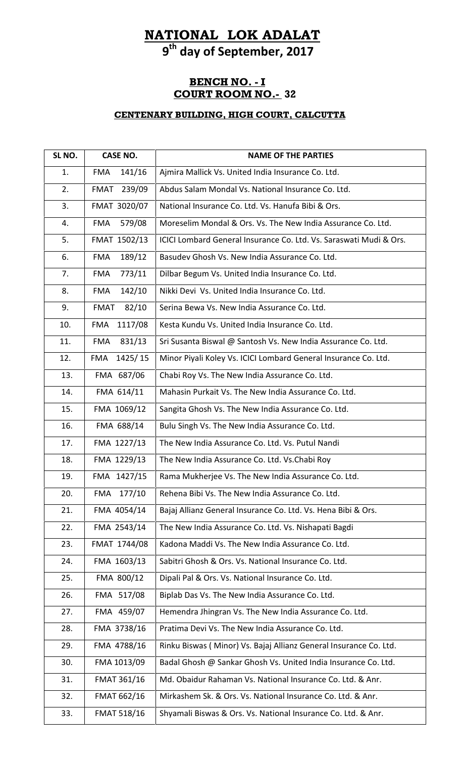# **NATIONAL LOK ADALAT**

**9 th day of September, 2017**

### **BENCH NO. - I COURT ROOM NO.- 32**

| SL NO. | <b>CASE NO.</b>       | <b>NAME OF THE PARTIES</b>                                         |
|--------|-----------------------|--------------------------------------------------------------------|
| 1.     | 141/16<br><b>FMA</b>  | Ajmira Mallick Vs. United India Insurance Co. Ltd.                 |
| 2.     | 239/09<br>FMAT        | Abdus Salam Mondal Vs. National Insurance Co. Ltd.                 |
| 3.     | FMAT 3020/07          | National Insurance Co. Ltd. Vs. Hanufa Bibi & Ors.                 |
| 4.     | 579/08<br><b>FMA</b>  | Moreselim Mondal & Ors. Vs. The New India Assurance Co. Ltd.       |
| 5.     | FMAT 1502/13          | ICICI Lombard General Insurance Co. Ltd. Vs. Saraswati Mudi & Ors. |
| 6.     | 189/12<br><b>FMA</b>  | Basudev Ghosh Vs. New India Assurance Co. Ltd.                     |
| 7.     | 773/11<br><b>FMA</b>  | Dilbar Begum Vs. United India Insurance Co. Ltd.                   |
| 8.     | 142/10<br><b>FMA</b>  | Nikki Devi Vs. United India Insurance Co. Ltd.                     |
| 9.     | 82/10<br><b>FMAT</b>  | Serina Bewa Vs. New India Assurance Co. Ltd.                       |
| 10.    | 1117/08<br><b>FMA</b> | Kesta Kundu Vs. United India Insurance Co. Ltd.                    |
| 11.    | 831/13<br><b>FMA</b>  | Sri Susanta Biswal @ Santosh Vs. New India Assurance Co. Ltd.      |
| 12.    | 1425/15<br><b>FMA</b> | Minor Piyali Koley Vs. ICICI Lombard General Insurance Co. Ltd.    |
| 13.    | FMA 687/06            | Chabi Roy Vs. The New India Assurance Co. Ltd.                     |
| 14.    | FMA 614/11            | Mahasin Purkait Vs. The New India Assurance Co. Ltd.               |
| 15.    | FMA 1069/12           | Sangita Ghosh Vs. The New India Assurance Co. Ltd.                 |
| 16.    | FMA 688/14            | Bulu Singh Vs. The New India Assurance Co. Ltd.                    |
| 17.    | FMA 1227/13           | The New India Assurance Co. Ltd. Vs. Putul Nandi                   |
| 18.    | FMA 1229/13           | The New India Assurance Co. Ltd. Vs. Chabi Roy                     |
| 19.    | FMA 1427/15           | Rama Mukherjee Vs. The New India Assurance Co. Ltd.                |
| 20.    | 177/10<br>FMA         | Rehena Bibi Vs. The New India Assurance Co. Ltd.                   |
| 21.    | FMA 4054/14           | Bajaj Allianz General Insurance Co. Ltd. Vs. Hena Bibi & Ors.      |
| 22.    | FMA 2543/14           | The New India Assurance Co. Ltd. Vs. Nishapati Bagdi               |
| 23.    | FMAT 1744/08          | Kadona Maddi Vs. The New India Assurance Co. Ltd.                  |
| 24.    | FMA 1603/13           | Sabitri Ghosh & Ors. Vs. National Insurance Co. Ltd.               |
| 25.    | FMA 800/12            | Dipali Pal & Ors. Vs. National Insurance Co. Ltd.                  |
| 26.    | FMA 517/08            | Biplab Das Vs. The New India Assurance Co. Ltd.                    |
| 27.    | FMA 459/07            | Hemendra Jhingran Vs. The New India Assurance Co. Ltd.             |
| 28.    | FMA 3738/16           | Pratima Devi Vs. The New India Assurance Co. Ltd.                  |
| 29.    | FMA 4788/16           | Rinku Biswas (Minor) Vs. Bajaj Allianz General Insurance Co. Ltd.  |
| 30.    | FMA 1013/09           | Badal Ghosh @ Sankar Ghosh Vs. United India Insurance Co. Ltd.     |
| 31.    | <b>FMAT 361/16</b>    | Md. Obaidur Rahaman Vs. National Insurance Co. Ltd. & Anr.         |
| 32.    | FMAT 662/16           | Mirkashem Sk. & Ors. Vs. National Insurance Co. Ltd. & Anr.        |
| 33.    | <b>FMAT 518/16</b>    | Shyamali Biswas & Ors. Vs. National Insurance Co. Ltd. & Anr.      |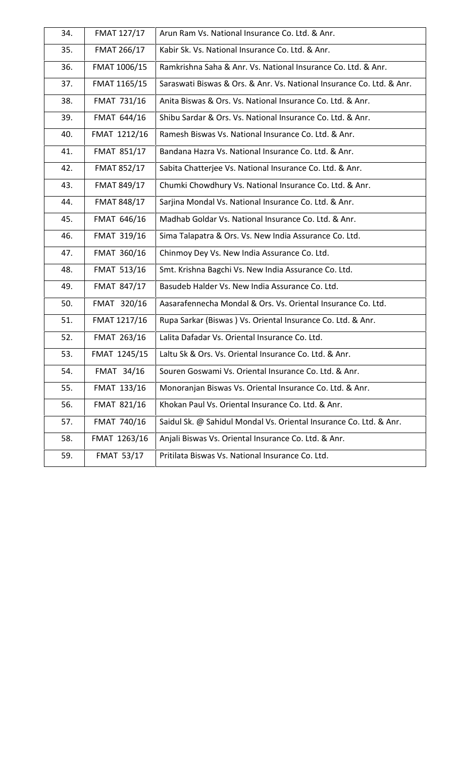| 34. | FMAT 127/17        | Arun Ram Vs. National Insurance Co. Ltd. & Anr.                       |
|-----|--------------------|-----------------------------------------------------------------------|
| 35. | FMAT 266/17        | Kabir Sk. Vs. National Insurance Co. Ltd. & Anr.                      |
| 36. | FMAT 1006/15       | Ramkrishna Saha & Anr. Vs. National Insurance Co. Ltd. & Anr.         |
| 37. | FMAT 1165/15       | Saraswati Biswas & Ors. & Anr. Vs. National Insurance Co. Ltd. & Anr. |
| 38. | FMAT 731/16        | Anita Biswas & Ors. Vs. National Insurance Co. Ltd. & Anr.            |
| 39. | FMAT 644/16        | Shibu Sardar & Ors. Vs. National Insurance Co. Ltd. & Anr.            |
| 40. | FMAT 1212/16       | Ramesh Biswas Vs. National Insurance Co. Ltd. & Anr.                  |
| 41. | <b>FMAT 851/17</b> | Bandana Hazra Vs. National Insurance Co. Ltd. & Anr.                  |
| 42. | <b>FMAT 852/17</b> | Sabita Chatterjee Vs. National Insurance Co. Ltd. & Anr.              |
| 43. | FMAT 849/17        | Chumki Chowdhury Vs. National Insurance Co. Ltd. & Anr.               |
| 44. | <b>FMAT 848/17</b> | Sarjina Mondal Vs. National Insurance Co. Ltd. & Anr.                 |
| 45. | FMAT 646/16        | Madhab Goldar Vs. National Insurance Co. Ltd. & Anr.                  |
| 46. | FMAT 319/16        | Sima Talapatra & Ors. Vs. New India Assurance Co. Ltd.                |
| 47. | FMAT 360/16        | Chinmoy Dey Vs. New India Assurance Co. Ltd.                          |
| 48. | <b>FMAT 513/16</b> | Smt. Krishna Bagchi Vs. New India Assurance Co. Ltd.                  |
| 49. | FMAT 847/17        | Basudeb Halder Vs. New India Assurance Co. Ltd.                       |
| 50. | FMAT 320/16        | Aasarafennecha Mondal & Ors. Vs. Oriental Insurance Co. Ltd.          |
| 51. | FMAT 1217/16       | Rupa Sarkar (Biswas) Vs. Oriental Insurance Co. Ltd. & Anr.           |
| 52. | FMAT 263/16        | Lalita Dafadar Vs. Oriental Insurance Co. Ltd.                        |
| 53. | FMAT 1245/15       | Laltu Sk & Ors. Vs. Oriental Insurance Co. Ltd. & Anr.                |
| 54. | FMAT 34/16         | Souren Goswami Vs. Oriental Insurance Co. Ltd. & Anr.                 |
| 55. | FMAT 133/16        | Monoranjan Biswas Vs. Oriental Insurance Co. Ltd. & Anr.              |
| 56. | FMAT 821/16        | Khokan Paul Vs. Oriental Insurance Co. Ltd. & Anr.                    |
| 57. | FMAT 740/16        | Saidul Sk. @ Sahidul Mondal Vs. Oriental Insurance Co. Ltd. & Anr.    |
| 58. | FMAT 1263/16       | Anjali Biswas Vs. Oriental Insurance Co. Ltd. & Anr.                  |
| 59. | <b>FMAT 53/17</b>  | Pritilata Biswas Vs. National Insurance Co. Ltd.                      |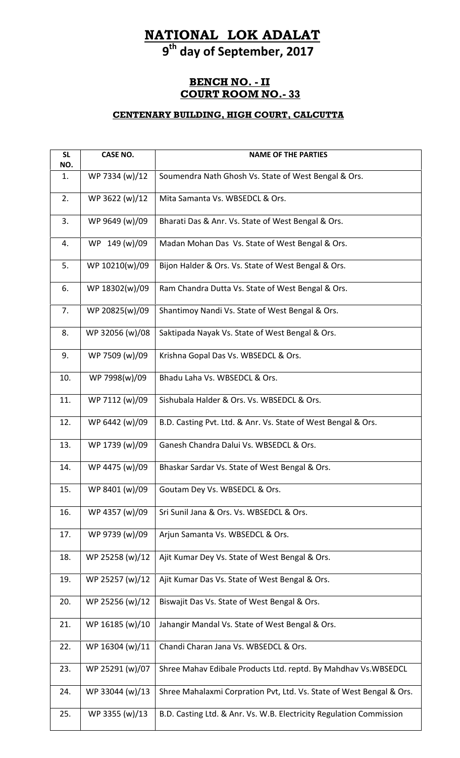# **NATIONAL LOK ADALAT**

**9 th day of September, 2017**

### **BENCH NO. - II COURT ROOM NO.- 33**

| <b>SL</b><br>NO. | <b>CASE NO.</b> | <b>NAME OF THE PARTIES</b>                                           |
|------------------|-----------------|----------------------------------------------------------------------|
| 1.               | WP 7334 (w)/12  | Soumendra Nath Ghosh Vs. State of West Bengal & Ors.                 |
| 2.               | WP 3622 (w)/12  | Mita Samanta Vs. WBSEDCL & Ors.                                      |
| 3.               | WP 9649 (w)/09  | Bharati Das & Anr. Vs. State of West Bengal & Ors.                   |
| 4.               | WP 149 (w)/09   | Madan Mohan Das Vs. State of West Bengal & Ors.                      |
| 5.               | WP 10210(w)/09  | Bijon Halder & Ors. Vs. State of West Bengal & Ors.                  |
| 6.               | WP 18302(w)/09  | Ram Chandra Dutta Vs. State of West Bengal & Ors.                    |
| 7.               | WP 20825(w)/09  | Shantimoy Nandi Vs. State of West Bengal & Ors.                      |
| 8.               | WP 32056 (w)/08 | Saktipada Nayak Vs. State of West Bengal & Ors.                      |
| 9.               | WP 7509 (w)/09  | Krishna Gopal Das Vs. WBSEDCL & Ors.                                 |
| 10.              | WP 7998(w)/09   | Bhadu Laha Vs. WBSEDCL & Ors.                                        |
| 11.              | WP 7112 (w)/09  | Sishubala Halder & Ors. Vs. WBSEDCL & Ors.                           |
| 12.              | WP 6442 (w)/09  | B.D. Casting Pvt. Ltd. & Anr. Vs. State of West Bengal & Ors.        |
| 13.              | WP 1739 (w)/09  | Ganesh Chandra Dalui Vs. WBSEDCL & Ors.                              |
| 14.              | WP 4475 (w)/09  | Bhaskar Sardar Vs. State of West Bengal & Ors.                       |
| 15.              | WP 8401 (w)/09  | Goutam Dey Vs. WBSEDCL & Ors.                                        |
| 16.              | WP 4357 (w)/09  | Sri Sunil Jana & Ors. Vs. WBSEDCL & Ors.                             |
| 17.              | WP 9739 (w)/09  | Arjun Samanta Vs. WBSEDCL & Ors.                                     |
| 18.              | WP 25258 (w)/12 | Ajit Kumar Dey Vs. State of West Bengal & Ors.                       |
| 19.              | WP 25257 (w)/12 | Ajit Kumar Das Vs. State of West Bengal & Ors.                       |
| 20.              | WP 25256 (w)/12 | Biswajit Das Vs. State of West Bengal & Ors.                         |
| 21.              | WP 16185 (w)/10 | Jahangir Mandal Vs. State of West Bengal & Ors.                      |
| 22.              | WP 16304 (w)/11 | Chandi Charan Jana Vs. WBSEDCL & Ors.                                |
| 23.              | WP 25291 (w)/07 | Shree Mahav Edibale Products Ltd. reptd. By Mahdhav Vs. WBSEDCL      |
| 24.              | WP 33044 (w)/13 | Shree Mahalaxmi Corpration Pvt, Ltd. Vs. State of West Bengal & Ors. |
| 25.              | WP 3355 (w)/13  | B.D. Casting Ltd. & Anr. Vs. W.B. Electricity Regulation Commission  |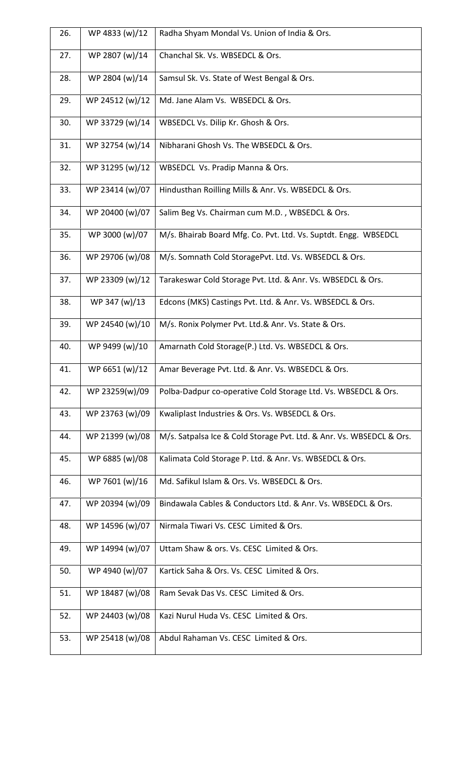| 26. | WP 4833 (w)/12  | Radha Shyam Mondal Vs. Union of India & Ors.                         |
|-----|-----------------|----------------------------------------------------------------------|
| 27. | WP 2807 (w)/14  | Chanchal Sk. Vs. WBSEDCL & Ors.                                      |
| 28. | WP 2804 (w)/14  | Samsul Sk. Vs. State of West Bengal & Ors.                           |
| 29. | WP 24512 (w)/12 | Md. Jane Alam Vs. WBSEDCL & Ors.                                     |
| 30. | WP 33729 (w)/14 | WBSEDCL Vs. Dilip Kr. Ghosh & Ors.                                   |
| 31. | WP 32754 (w)/14 | Nibharani Ghosh Vs. The WBSEDCL & Ors.                               |
| 32. | WP 31295 (w)/12 | WBSEDCL Vs. Pradip Manna & Ors.                                      |
| 33. | WP 23414 (w)/07 | Hindusthan Roilling Mills & Anr. Vs. WBSEDCL & Ors.                  |
| 34. | WP 20400 (w)/07 | Salim Beg Vs. Chairman cum M.D., WBSEDCL & Ors.                      |
| 35. | WP 3000 (w)/07  | M/s. Bhairab Board Mfg. Co. Pvt. Ltd. Vs. Suptdt. Engg. WBSEDCL      |
| 36. | WP 29706 (w)/08 | M/s. Somnath Cold StoragePvt. Ltd. Vs. WBSEDCL & Ors.                |
| 37. | WP 23309 (w)/12 | Tarakeswar Cold Storage Pvt. Ltd. & Anr. Vs. WBSEDCL & Ors.          |
| 38. | WP 347 (w)/13   | Edcons (MKS) Castings Pvt. Ltd. & Anr. Vs. WBSEDCL & Ors.            |
| 39. | WP 24540 (w)/10 | M/s. Ronix Polymer Pvt. Ltd.& Anr. Vs. State & Ors.                  |
| 40. | WP 9499 (w)/10  | Amarnath Cold Storage(P.) Ltd. Vs. WBSEDCL & Ors.                    |
| 41. | WP 6651 (w)/12  | Amar Beverage Pvt. Ltd. & Anr. Vs. WBSEDCL & Ors.                    |
| 42. | WP 23259(w)/09  | Polba-Dadpur co-operative Cold Storage Ltd. Vs. WBSEDCL & Ors.       |
| 43. | WP 23763 (w)/09 | Kwaliplast Industries & Ors. Vs. WBSEDCL & Ors.                      |
| 44. | WP 21399 (w)/08 | M/s. Satpalsa Ice & Cold Storage Pvt. Ltd. & Anr. Vs. WBSEDCL & Ors. |
| 45. | WP 6885 (w)/08  | Kalimata Cold Storage P. Ltd. & Anr. Vs. WBSEDCL & Ors.              |
| 46. | WP 7601 (w)/16  | Md. Safikul Islam & Ors. Vs. WBSEDCL & Ors.                          |
| 47. | WP 20394 (w)/09 | Bindawala Cables & Conductors Ltd. & Anr. Vs. WBSEDCL & Ors.         |
| 48. | WP 14596 (w)/07 | Nirmala Tiwari Vs. CESC Limited & Ors.                               |
| 49. | WP 14994 (w)/07 | Uttam Shaw & ors. Vs. CESC Limited & Ors.                            |
| 50. | WP 4940 (w)/07  | Kartick Saha & Ors. Vs. CESC Limited & Ors.                          |
| 51. | WP 18487 (w)/08 | Ram Sevak Das Vs. CESC Limited & Ors.                                |
| 52. | WP 24403 (w)/08 | Kazi Nurul Huda Vs. CESC Limited & Ors.                              |
| 53. | WP 25418 (w)/08 | Abdul Rahaman Vs. CESC Limited & Ors.                                |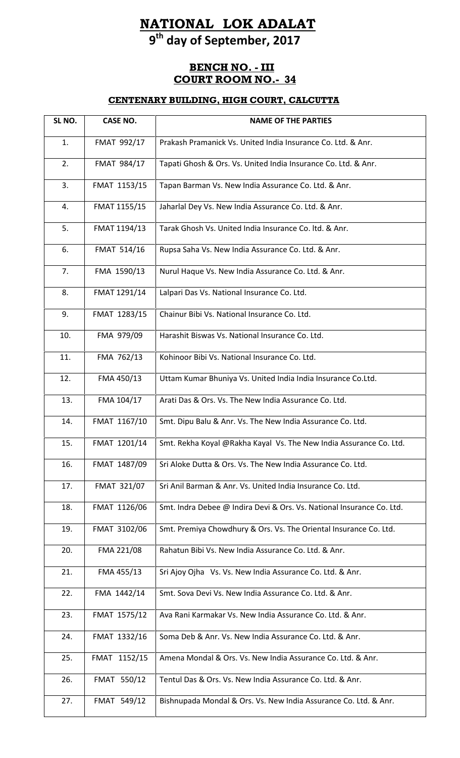# **NATIONAL LOK ADALAT 9 th day of September, 2017**

## **BENCH NO. - III COURT ROOM NO.- 34**

| SL NO. | <b>CASE NO.</b> | <b>NAME OF THE PARTIES</b>                                            |
|--------|-----------------|-----------------------------------------------------------------------|
| 1.     | FMAT 992/17     | Prakash Pramanick Vs. United India Insurance Co. Ltd. & Anr.          |
| 2.     | FMAT 984/17     | Tapati Ghosh & Ors. Vs. United India Insurance Co. Ltd. & Anr.        |
| 3.     | FMAT 1153/15    | Tapan Barman Vs. New India Assurance Co. Ltd. & Anr.                  |
| 4.     | FMAT 1155/15    | Jaharlal Dey Vs. New India Assurance Co. Ltd. & Anr.                  |
| 5.     | FMAT 1194/13    | Tarak Ghosh Vs. United India Insurance Co. Itd. & Anr.                |
| 6.     | FMAT 514/16     | Rupsa Saha Vs. New India Assurance Co. Ltd. & Anr.                    |
| 7.     | FMA 1590/13     | Nurul Haque Vs. New India Assurance Co. Ltd. & Anr.                   |
| 8.     | FMAT 1291/14    | Lalpari Das Vs. National Insurance Co. Ltd.                           |
| 9.     | FMAT 1283/15    | Chainur Bibi Vs. National Insurance Co. Ltd.                          |
| 10.    | FMA 979/09      | Harashit Biswas Vs. National Insurance Co. Ltd.                       |
| 11.    | FMA 762/13      | Kohinoor Bibi Vs. National Insurance Co. Ltd.                         |
| 12.    | FMA 450/13      | Uttam Kumar Bhuniya Vs. United India India Insurance Co.Ltd.          |
| 13.    | FMA 104/17      | Arati Das & Ors. Vs. The New India Assurance Co. Ltd.                 |
| 14.    | FMAT 1167/10    | Smt. Dipu Balu & Anr. Vs. The New India Assurance Co. Ltd.            |
| 15.    | FMAT 1201/14    | Smt. Rekha Koyal @Rakha Kayal Vs. The New India Assurance Co. Ltd.    |
| 16.    | FMAT 1487/09    | Sri Aloke Dutta & Ors. Vs. The New India Assurance Co. Ltd.           |
| 17.    | FMAT 321/07     | Sri Anil Barman & Anr. Vs. United India Insurance Co. Ltd.            |
| 18.    | FMAT 1126/06    | Smt. Indra Debee @ Indira Devi & Ors. Vs. National Insurance Co. Ltd. |
| 19.    | FMAT 3102/06    | Smt. Premiya Chowdhury & Ors. Vs. The Oriental Insurance Co. Ltd.     |
| 20.    | FMA 221/08      | Rahatun Bibi Vs. New India Assurance Co. Ltd. & Anr.                  |
| 21.    | FMA 455/13      | Sri Ajoy Ojha Vs. Vs. New India Assurance Co. Ltd. & Anr.             |
| 22.    | FMA 1442/14     | Smt. Sova Devi Vs. New India Assurance Co. Ltd. & Anr.                |
| 23.    | FMAT 1575/12    | Ava Rani Karmakar Vs. New India Assurance Co. Ltd. & Anr.             |
| 24.    | FMAT 1332/16    | Soma Deb & Anr. Vs. New India Assurance Co. Ltd. & Anr.               |
| 25.    | FMAT 1152/15    | Amena Mondal & Ors. Vs. New India Assurance Co. Ltd. & Anr.           |
| 26.    | FMAT 550/12     | Tentul Das & Ors. Vs. New India Assurance Co. Ltd. & Anr.             |
| 27.    | FMAT 549/12     | Bishnupada Mondal & Ors. Vs. New India Assurance Co. Ltd. & Anr.      |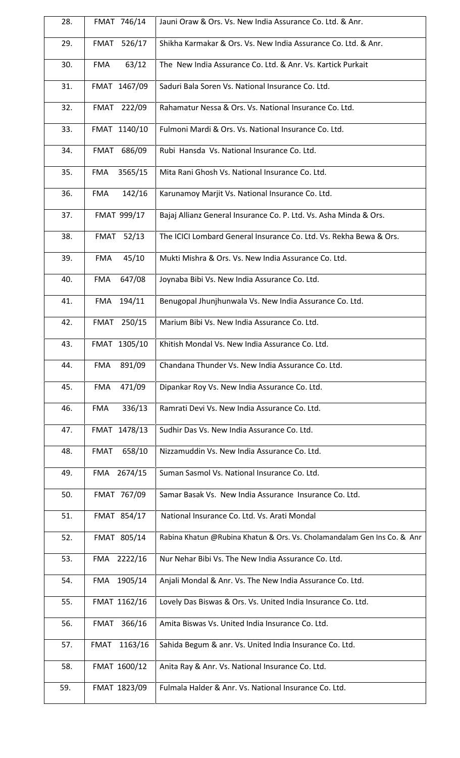| 28. | FMAT 746/14           | Jauni Oraw & Ors. Vs. New India Assurance Co. Ltd. & Anr.               |
|-----|-----------------------|-------------------------------------------------------------------------|
| 29. | <b>FMAT</b><br>526/17 | Shikha Karmakar & Ors. Vs. New India Assurance Co. Ltd. & Anr.          |
| 30. | 63/12<br><b>FMA</b>   | The New India Assurance Co. Ltd. & Anr. Vs. Kartick Purkait             |
| 31. | FMAT 1467/09          | Saduri Bala Soren Vs. National Insurance Co. Ltd.                       |
| 32. | FMAT 222/09           | Rahamatur Nessa & Ors. Vs. National Insurance Co. Ltd.                  |
| 33. | FMAT 1140/10          | Fulmoni Mardi & Ors. Vs. National Insurance Co. Ltd.                    |
| 34. | FMAT 686/09           | Rubi Hansda Vs. National Insurance Co. Ltd.                             |
| 35. | 3565/15<br><b>FMA</b> | Mita Rani Ghosh Vs. National Insurance Co. Ltd.                         |
| 36. | 142/16<br><b>FMA</b>  | Karunamoy Marjit Vs. National Insurance Co. Ltd.                        |
| 37. | FMAT 999/17           | Bajaj Allianz General Insurance Co. P. Ltd. Vs. Asha Minda & Ors.       |
| 38. | FMAT 52/13            | The ICICI Lombard General Insurance Co. Ltd. Vs. Rekha Bewa & Ors.      |
| 39. | 45/10<br><b>FMA</b>   | Mukti Mishra & Ors. Vs. New India Assurance Co. Ltd.                    |
| 40. | 647/08<br><b>FMA</b>  | Joynaba Bibi Vs. New India Assurance Co. Ltd.                           |
| 41. | FMA 194/11            | Benugopal Jhunjhunwala Vs. New India Assurance Co. Ltd.                 |
| 42. | FMAT 250/15           | Marium Bibi Vs. New India Assurance Co. Ltd.                            |
| 43. | FMAT 1305/10          | Khitish Mondal Vs. New India Assurance Co. Ltd.                         |
| 44. | 891/09<br>FMA         | Chandana Thunder Vs. New India Assurance Co. Ltd.                       |
| 45. | 471/09<br><b>FMA</b>  | Dipankar Roy Vs. New India Assurance Co. Ltd.                           |
| 46. | 336/13<br><b>FMA</b>  | Ramrati Devi Vs. New India Assurance Co. Ltd.                           |
| 47. | FMAT 1478/13          | Sudhir Das Vs. New India Assurance Co. Ltd.                             |
| 48. | 658/10<br><b>FMAT</b> | Nizzamuddin Vs. New India Assurance Co. Ltd.                            |
| 49. | FMA 2674/15           | Suman Sasmol Vs. National Insurance Co. Ltd.                            |
| 50. | FMAT 767/09           | Samar Basak Vs. New India Assurance Insurance Co. Ltd.                  |
| 51. | FMAT 854/17           | National Insurance Co. Ltd. Vs. Arati Mondal                            |
| 52. | FMAT 805/14           | Rabina Khatun @Rubina Khatun & Ors. Vs. Cholamandalam Gen Ins Co. & Anr |
| 53. | FMA 2222/16           | Nur Nehar Bibi Vs. The New India Assurance Co. Ltd.                     |
| 54. | FMA 1905/14           | Anjali Mondal & Anr. Vs. The New India Assurance Co. Ltd.               |
| 55. | FMAT 1162/16          | Lovely Das Biswas & Ors. Vs. United India Insurance Co. Ltd.            |
| 56. | 366/16<br>FMAT        | Amita Biswas Vs. United India Insurance Co. Ltd.                        |
| 57. | FMAT<br>1163/16       | Sahida Begum & anr. Vs. United India Insurance Co. Ltd.                 |
| 58. | FMAT 1600/12          | Anita Ray & Anr. Vs. National Insurance Co. Ltd.                        |
| 59. | FMAT 1823/09          | Fulmala Halder & Anr. Vs. National Insurance Co. Ltd.                   |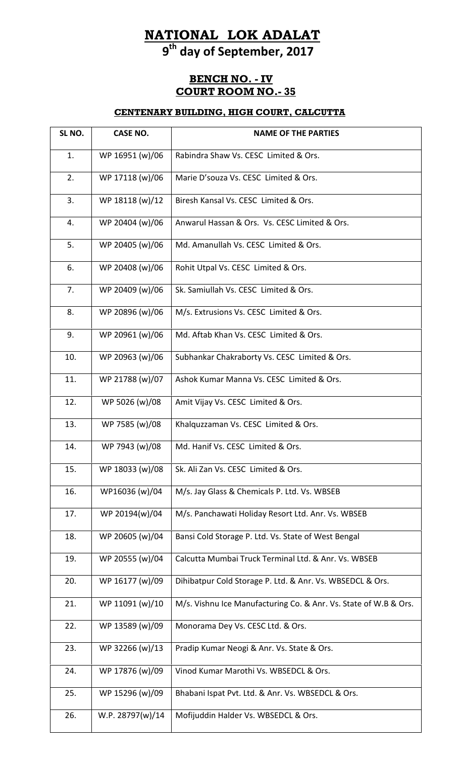# **NATIONAL LOK ADALAT**

**9 th day of September, 2017**

## **BENCH NO. - IV COURT ROOM NO.- 35**

| SL NO. | <b>CASE NO.</b>  | <b>NAME OF THE PARTIES</b>                                       |
|--------|------------------|------------------------------------------------------------------|
| 1.     | WP 16951 (w)/06  | Rabindra Shaw Vs. CESC Limited & Ors.                            |
| 2.     | WP 17118 (w)/06  | Marie D'souza Vs. CESC Limited & Ors.                            |
| 3.     | WP 18118 (w)/12  | Biresh Kansal Vs. CESC Limited & Ors.                            |
| 4.     | WP 20404 (w)/06  | Anwarul Hassan & Ors. Vs. CESC Limited & Ors.                    |
| 5.     | WP 20405 (w)/06  | Md. Amanullah Vs. CESC Limited & Ors.                            |
| 6.     | WP 20408 (w)/06  | Rohit Utpal Vs. CESC Limited & Ors.                              |
| 7.     | WP 20409 (w)/06  | Sk. Samiullah Vs. CESC Limited & Ors.                            |
| 8.     | WP 20896 (w)/06  | M/s. Extrusions Vs. CESC Limited & Ors.                          |
| 9.     | WP 20961 (w)/06  | Md. Aftab Khan Vs. CESC Limited & Ors.                           |
| 10.    | WP 20963 (w)/06  | Subhankar Chakraborty Vs. CESC Limited & Ors.                    |
| 11.    | WP 21788 (w)/07  | Ashok Kumar Manna Vs. CESC Limited & Ors.                        |
| 12.    | WP 5026 (w)/08   | Amit Vijay Vs. CESC Limited & Ors.                               |
| 13.    | WP 7585 (w)/08   | Khalquzzaman Vs. CESC Limited & Ors.                             |
| 14.    | WP 7943 (w)/08   | Md. Hanif Vs. CESC Limited & Ors.                                |
| 15.    | WP 18033 (w)/08  | Sk. Ali Zan Vs. CESC Limited & Ors.                              |
| 16.    | WP16036 (w)/04   | M/s. Jay Glass & Chemicals P. Ltd. Vs. WBSEB                     |
| 17.    | WP 20194(w)/04   | M/s. Panchawati Holiday Resort Ltd. Anr. Vs. WBSEB               |
| 18.    | WP 20605 (w)/04  | Bansi Cold Storage P. Ltd. Vs. State of West Bengal              |
| 19.    | WP 20555 (w)/04  | Calcutta Mumbai Truck Terminal Ltd. & Anr. Vs. WBSEB             |
| 20.    | WP 16177 (w)/09  | Dihibatpur Cold Storage P. Ltd. & Anr. Vs. WBSEDCL & Ors.        |
| 21.    | WP 11091 (w)/10  | M/s. Vishnu Ice Manufacturing Co. & Anr. Vs. State of W.B & Ors. |
| 22.    | WP 13589 (w)/09  | Monorama Dey Vs. CESC Ltd. & Ors.                                |
| 23.    | WP 32266 (w)/13  | Pradip Kumar Neogi & Anr. Vs. State & Ors.                       |
| 24.    | WP 17876 (w)/09  | Vinod Kumar Marothi Vs. WBSEDCL & Ors.                           |
| 25.    | WP 15296 (w)/09  | Bhabani Ispat Pvt. Ltd. & Anr. Vs. WBSEDCL & Ors.                |
| 26.    | W.P. 28797(w)/14 | Mofijuddin Halder Vs. WBSEDCL & Ors.                             |